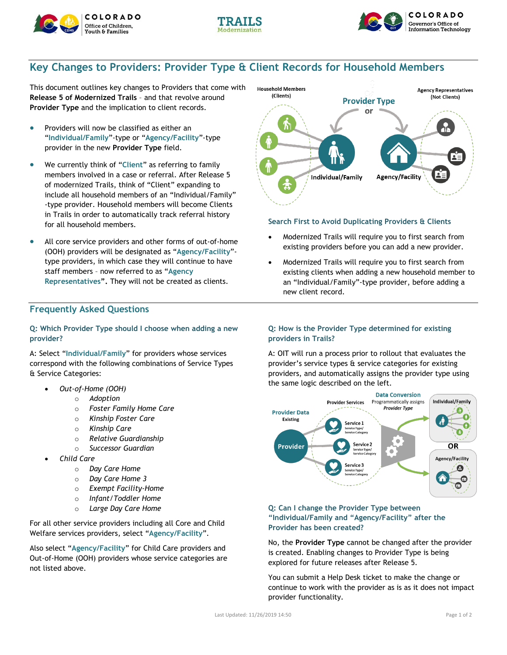





# **Key Changes to Providers: Provider Type & Client Records for Household Members**

This document outlines key changes to Providers that come with **Release 5 of Modernized Trails** – and that revolve around **Provider Type** and the implication to client records.

- Providers will now be classified as either an "**Individual/Family**"-type or "**Agency/Facility**"-type provider in the new **Provider Type** field.
- We currently think of "**Client**" as referring to family members involved in a case or referral. After Release 5 of modernized Trails, think of "Client" expanding to include all household members of an "Individual/Family" -type provider. Household members will become Clients in Trails in order to automatically track referral history for all household members.
- All core service providers and other forms of out-of-home (OOH) providers will be designated as "**Agency/Facility**" type providers, in which case they will continue to have staff members – now referred to as "**Agency Representatives".** They will not be created as clients.

# **Frequently Asked Questions**

#### **Q: Which Provider Type should I choose when adding a new provider?**

A: Select "**Individual/Family**" for providers whose services correspond with the following combinations of Service Types & Service Categories:

- *Out-of-Home (OOH)*
	- o *Adoption*
	- o *Foster Family Home Care*
	- o *Kinship Foster Care*
	- o *Kinship Care*
	- o *Relative Guardianship*
	- o *Successor Guardian*
- *Child Care*
	- o *Day Care Home*
	- o *Day Care Home 3*
	- o *Exempt Facility-Home*
	- o *Infant/Toddler Home*
	- o *Large Day Care Home*

For all other service providers including all Core and Child Welfare services providers, select "**Agency/Facility**".

Also select "**Agency/Facility**" for Child Care providers and Out-of-Home (OOH) providers whose service categories are not listed above.



### **Search First to Avoid Duplicating Providers & Clients**

- Modernized Trails will require you to first search from existing providers before you can add a new provider.
- Modernized Trails will require you to first search from existing clients when adding a new household member to an "Individual/Family"-type provider, before adding a new client record.

### **Q: How is the Provider Type determined for existing providers in Trails?**

A: OIT will run a process prior to rollout that evaluates the provider's service types & service categories for existing providers, and automatically assigns the provider type using the same logic described on the left.



### **Q: Can I change the Provider Type between "Individual/Family and "Agency/Facility" after the Provider has been created?**

No, the **Provider Type** cannot be changed after the provider is created. Enabling changes to Provider Type is being explored for future releases after Release 5.

You can submit a Help Desk ticket to make the change or continue to work with the provider as is as it does not impact provider functionality.